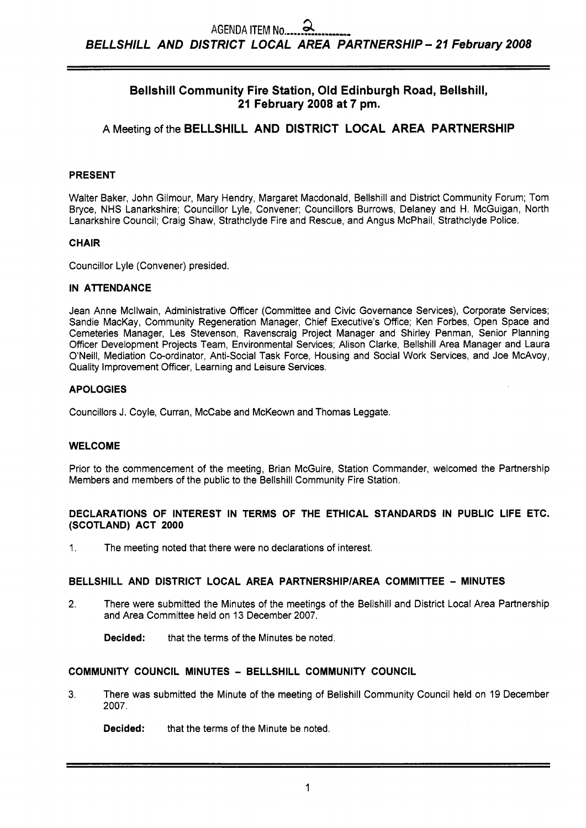# **Bellshill Community Fire Station, Old Edinburgh Road, Bellshill, 21 February 2008 at 7 pm.**

# **A** Meeting of the **BELLSHILL AND DISTRICT LOCAL AREA PARTNERSHIP**

## **PRESENT**

Walter Baker, John Gilmour, Mary Hendry, Margaret Macdonald, Bellshill and District Community Forum; Tom Bryce, NHS Lanarkshire; Councillor Lyle, Convener; Councillors Burrows, Delaney and H. McGuigan, North Lanarkshire Council; Craig Shaw, Strathclyde Fire and Rescue, and Angus McPhail, Strathclyde Police.

## **CHAIR**

Councillor Lyle (Convener) presided.

## **IN ATTENDANCE**

Jean Anne Mcllwain, Administrative Officer (Committee and Civic Governance Services), Corporate Services; Sandie MacKay, Community Regeneration Manager, Chief Executive's Office; Ken Forbes, Open Space and Cemeteries Manager, Les Stevenson, Ravenscraig Project Manager and Shirley Penman, Senior Planning Officer Development Projects Team, Environmental Services; Alison Clarke, Bellshill Area Manager and Laura O'Neill, Mediation Co-ordinator, Anti-Social Task Force, Housing and Social Work Services, and Joe McAvoy, Quality Improvement Officer, Learning and Leisure Services.

## **APOLOGIES**

Councillors J. Coyle, Curran, McCabe and McKeown and Thomas Leggate.

## **WELCOME**

Prior to the commencement of the meeting, Brian McGuire, Station Commander, welcomed the Partnership Members and members of the public to the Bellshill Community Fire Station.

## **DECLARATIONS OF INTEREST IN TERMS OF THE ETHICAL STANDARDS IN PUBLIC LIFE ETC. (SCOTLAND) ACT 2000**

1. The meeting noted that there were no declarations of interest.

## **BELLSHILL AND DISTRICT LOCAL AREA PARTNERSHIP/AREA COMMITTEE - MINUTES**

2. There were submitted the Minutes of the meetings of the Bellshill and District Local Area Partnership and Area Committee held on 13 December 2007.

**Decided:** that the terms of the Minutes be noted.

## **COMMUNITY COUNCIL MINUTES** - **BELLSHILL COMMUNITY COUNCIL**

**3.** There was submitted the Minute of the meeting of Bellshill Community Council held on 19 December 2007.

**Decided:** that the terms of the Minute be noted.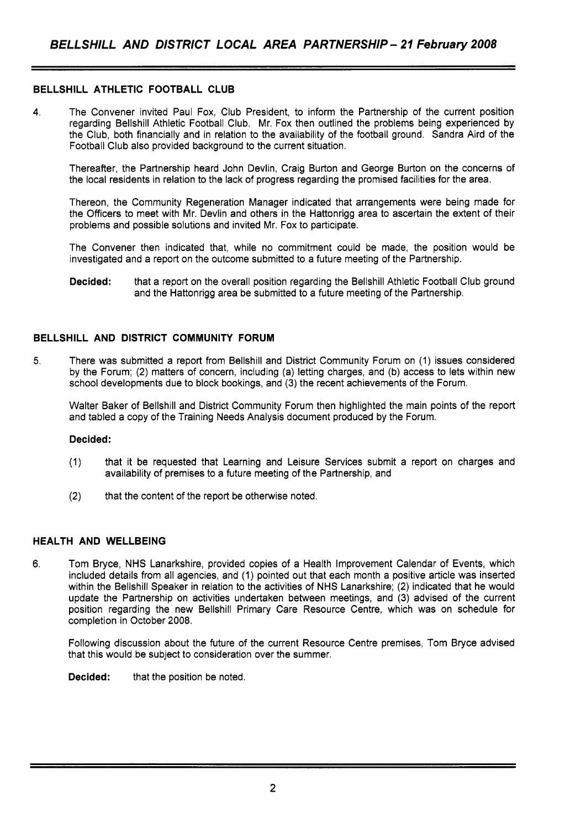## **BELLSHILL ATHLETIC FOOTBALL CLUB**

**4.** The Convener invited Paul Fox, Club President, to inform the Partnership of the current position regarding Bellshill Athletic Football Club. Mr. Fox then outlined the problems being experienced by the Club, both financially and in relation to the availability of the football ground. Sandra Aird of the Football Club also provided background to the current situation.

Thereafter, the Partnership heard John Devlin, Craig Burton and George Burton on the concerns of the local residents in relation to the lack of progress regarding the promised facilities for the area.

Thereon, the Community Regeneration Manager indicated that arrangements were being made for the Officers to meet with Mr. Devlin and others in the Hattonrigg area to ascertain the extent of their problems and possible solutions and invited Mr. Fox to participate.

The Convener then indicated that, while no commitment could be made, the position would be investigated and a report on the outcome submitted to a future meeting of the Partnership.

**Decided:** that a report on the overall position regarding the Bellshill Athletic Football Club ground and the Hattonrigg area be submitted to a future meeting of the Partnership.

## **BELLSHILL AND DISTRICT COMMUNITY FORUM**

5. There was submitted a report from Bellshill and District Community Forum on (1) issues considered by the Forum; (2) matters of concern, including (a) letting charges, and (b) access to lets within new school developments due to block bookings, and (3) the recent achievements of the Forum.

Walter Baker of Bellshill and District Community Forum then highlighted the main points of the report and tabled a copy of the Training Needs Analysis document produced by the Forum.

## **Decided:**

- (1) that it be requested that Learning and Leisure Services submit a report on charges and availability of premises to a future meeting of the Partnership, and
- **(2)** that the content of the report be otherwise noted.

## **HEALTH AND WELLBEING**

**6.** Tom Bryce, NHS Lanarkshire, provided copies of a Health Improvement Calendar of Events, which included details from all agencies, and (1) pointed out that each month a positive article was inserted within the Bellshill Speaker in relation to the activities of NHS Lanarkshire; (2) indicated that he would update the Partnership on activities undertaken between meetings, and (3) advised of the current position regarding the new Bellshill Primary Care Resource Centre, which was on schedule for completion in October 2008.

Following discussion about the future of the current Resource Centre premises, Tom Bryce advised that this would be subject to consideration over the summer.

**Decided:** that the position be noted.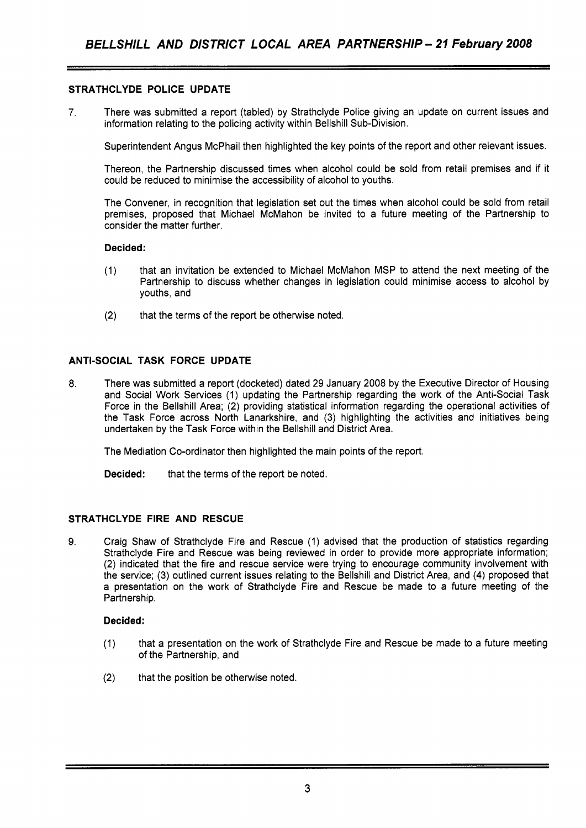## **STRATHCLYDE POLICE UPDATE**

**7.** There was submitted a report (tabled) by Strathclyde Police giving an update on current issues and information relating to the policing activity within Bellshill Sub-Division.

Superintendent Angus McPhail then highlighted the key points of the report and other relevant issues.

Thereon, the Partnership discussed times when alcohol could be sold from retail premises and if it could be reduced to minimise the accessibility of alcohol to youths.

The Convener, in recognition that legislation set out the times when alcohol could be sold from retail premises, proposed that Michael McMahon be invited to a future meeting of the Partnership to consider the matter further.

## **Decided:**

- (1) that an invitation be extended to Michael McMahon MSP to attend the next meeting of the Partnership to discuss whether changes in legislation could minimise access to alcohol by youths, and
- (2) that the terms of the report be otherwise noted.

## **ANTI-SOCIAL TASK FORCE UPDATE**

8. There was submitted a report (docketed) dated 29 January 2008 by the Executive Director of Housing and Social Work Services (1) updating the Partnership regarding the work of the Anti-Social Task Force in the Bellshill Area; (2) providing statistical information regarding the operational activities of the Task Force across North Lanarkshire, and (3) highlighting the activities and initiatives being undertaken by the Task Force within the Bellshill and District Area.

The Mediation Co-ordinator then highlighted the main points of the report.

**Decided:** that the terms of the report be noted.

## **STRATHCLYDE FIRE AND RESCUE**

**9.** Craig Shaw of Strathclyde Fire and Rescue (1) advised that the production of statistics regarding Strathclyde Fire and Rescue was being reviewed in order to provide more appropriate information; (2) indicated that the fire and rescue service were trying to encourage community involvement with the service; (3) outlined current issues relating to the Bellshill and District Area, and **(4)** proposed that a presentation on the work of Strathclyde Fire and Rescue be made to a future meeting of the Partnership.

## **Decided:**

- (1) that a presentation on the work of Strathclyde Fire and Rescue be made to a future meeting of the Partnership, and
- (2) that the position be otherwise noted.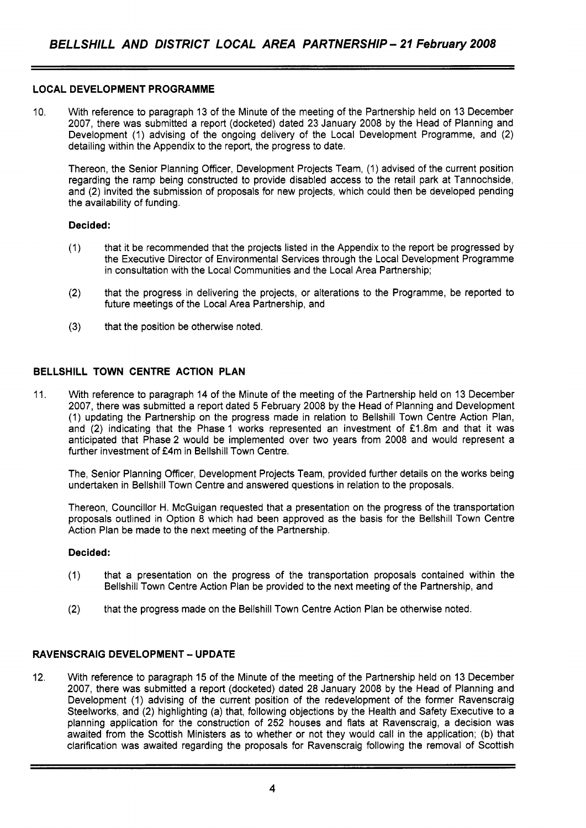## **LOCAL DEVELOPMENT PROGRAMME**

10. With reference to paragraph 13 of the Minute of the meeting of the Partnership held on 13 December 2007, there was submitted a report (docketed) dated 23 January 2008 by the Head of Planning and Development (1) advising of the ongoing delivery of the Local Development Programme, and (2) detailing within the Appendix to the report, the progress to date.

Thereon, the Senior Planning Officer, Development Projects Team, (1) advised of the current position regarding the ramp being constructed to provide disabled access to the retail park at Tannochside, and (2) invited the submission of proposals for new projects, which could then be developed pending the availability of funding.

## **Decided:**

- (1) that it be recommended that the projects listed in the Appendix to the report be progressed by the Executive Director of Environmental Services through the Local Development Programme in consultation with the Local Communities and the Local Area Partnership;
- (2) that the progress in delivering the projects, or alterations to the Programme, be reported to future meetings of the Local Area Partnership, and
- **(3)** that the position be otherwise noted.

## **BELLSHILL TOWN CENTRE ACTION PLAN**

11. With reference to paragraph 14 of the Minute of the meeting of the Partnership held on 13 December 2007, there was submitted a report dated 5 February 2008 by the Head of Planning and Development (1) updating the Partnership on the progress made in relation to Bellshill Town Centre Action Plan, and (2) indicating that the Phase 1 works represented an investment of £1.8m and that it was anticipated that Phase 2 would be implemented over two years from 2008 and would represent a further investment of £4m in Bellshill Town Centre.

The, Senior Planning Officer, Development Projects Team, provided further details on the works being undertaken in Bellshill Town Centre and answered questions in relation to the proposals.

Thereon, Councillor H. McGuigan requested that a presentation on the progress of the transportation proposals outlined in Option 8 which had been approved as the basis for the Bellshill Town Centre Action Plan be made to the next meeting of the Partnership.

#### **Decided:**

- (1) that a presentation on the progress of the transportation proposals contained within the Bellshill Town Centre Action Plan be provided to the next meeting of the Partnership, and
- (2) that the progress made on the Bellshill Town Centre Action Plan be otherwise noted.

## **RAVENSCRAIG DEVELOPMENT** - **UPDATE**

12. With reference to paragraph 15 of the Minute of the meeting of the Partnership held on 13 December 2007, there was submitted a report (docketed) dated 28 January 2008 by the Head of Planning and Development (1) advising of the current position of the redevelopment of the former Ravenscraig Steelworks, and (2) highlighting (a) that, following objections by the Health and Safety Executive to a planning application for the construction of 252 houses and flats at Ravenscraig, a decision was awaited from the Scottish Ministers as to whether or not they would call in the application; (b) that clarification was awaited regarding the proposals for Ravenscraig following the removal of Scottish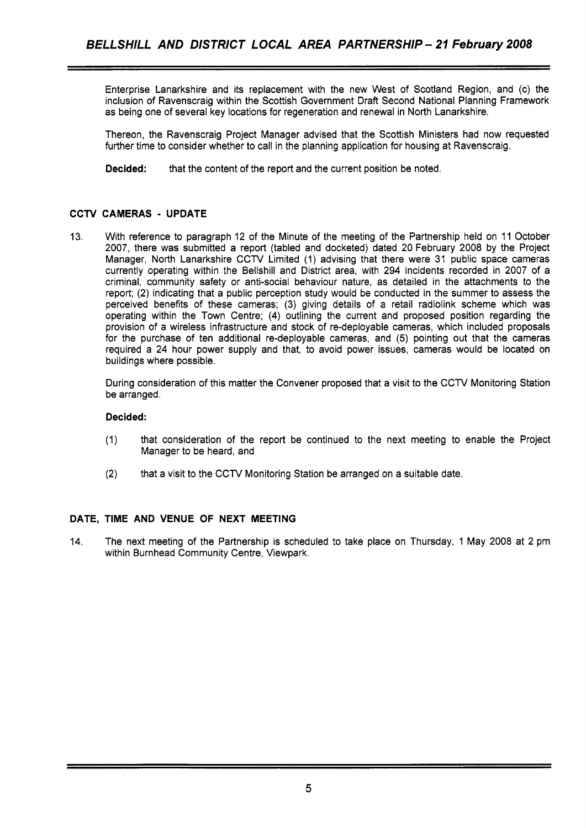Enterprise Lanarkshire and its replacement with the new West of Scotland Region, and (c) the inclusion of Ravenscraig within the Scottish Government Draft Second National Planning Framework as being one of several key locations for regeneration and renewal in North Lanarkshire.

Thereon, the Ravenscraig Project Manager advised that the Scottish Ministers had now requested further time to consider whether to call in the planning application for housing at Ravenscraig.

**Decided:** that the content of the report and the current position be noted.

## **CCTV CAMERAS** - **UPDATE**

13. With reference to paragraph 12 of the Minute of the meeting of the Partnership held on 11 October 2007, there was submitted a report (tabled and docketed) dated 20 February 2008 by the Project Manager, North Lanarkshire CCTV Limited (1) advising that there were 31 public space cameras currently operating within the Bellshill and District area, with 294 incidents recorded in 2007 of a criminal, community safety or anti-social behaviour nature, as detailed in the attachments to the report; (2) indicating that a public perception study would be conducted in the summer to assess the perceived benefits of these cameras; (3) giving details of a retail radiolink scheme which was operating within the Town Centre; (4) outlining the current and proposed position regarding the provision of a wireless infrastructure and stock of re-deployable cameras, which included proposals for the purchase of ten additional re-deployable cameras, and (5) pointing out that the cameras required a 24 hour power supply and that, to avoid power issues, cameras would be located on buildings where possible.

During consideration of this matter the Convener proposed that a visit to the CCTV Monitoring Station be arranged.

#### **Decided:**

- (1) that consideration of the report be continued to the next meeting to enable the Project Manager to be heard, and
- (2) that a visit to the CCTV Monitoring Station be arranged on a suitable date.

## **DATE, TIME AND VENUE OF NEXT MEETING**

14. The next meeting of the Partnership is scheduled to take place on Thursday, 1 May 2008 at 2 pm within Burnhead Community Centre, Viewpark.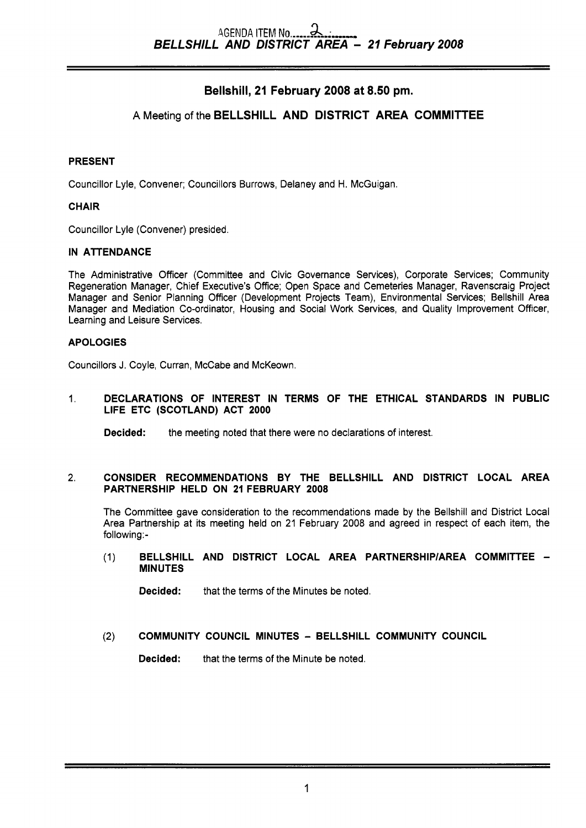# Bellshill, **21** February **2008** at **8.50 pm.**

# A Meeting of the BELLSHILL AND DISTRICT AREA COMMITTEE

## PRESENT

Councillor Lyle, Convener; Councillors Burrows, Delaney and H. McGuigan.

## **CHAIR**

Councillor Lyle (Convener) presided.

## IN ATTENDANCE

The Administrative Officer (Committee and Civic Governance Services), Corporate Services; Community Regeneration Manager, Chief Executive's Office; Open Space and Cemeteries Manager, Ravenscraig Project Manager and Senior Planning Officer (Development Projects Team), Environmental Services; Bellshill Area Manager and Mediation Co-ordinator, Housing and Social Work Services, and Quality Improvement Officer, Learning and Leisure Services.

## APOLOGIES

Councillors **J.** Coyle, Curran, McCabe and McKeown.

#### 1. DECLARATIONS OF INTEREST IN TERMS OF THE ETHICAL STANDARDS IN PUBLIC LIFE ETC (SCOTLAND) ACT 2000

**Decided:** the meeting noted that there were no declarations of interest.

## **2.** CONSIDER RECOMMENDATIONS BY THE BELLSHILL AND DISTRICT LOCAL AREA PARTNERSHIP HELD ON 21 FEBRUARY 2008

The Committee gave consideration to the recommendations made by the Bellshill and District Local Area Partnership at its meeting held on 21 February 2008 and agreed in respect of each item, the following:-

## (1) BELLSHILL AND DISTRICT LOCAL AREA PARTNERSHIP/AREA COMMITTEE -MINUTES

**Decided:** that the terms of the Minutes be noted.

# **(2)** COMMUNITY COUNCIL MINUTES - BELLSHILL COMMUNITY COUNCIL

Decided: that the terms of the Minute be noted.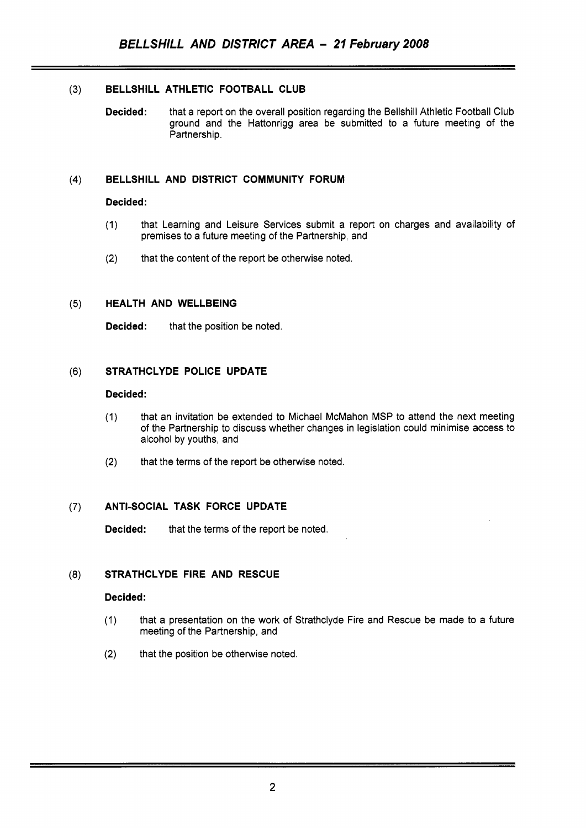## **(3) BELLSHILL ATHLETIC FOOTBALL CLUB**

**Decided:** that a report on the overall position regarding the Bellshill Athletic Football Club ground and the Hattonrigg area be submitted to a future meeting of the Partnership.

## **(4) BELLSHILL AND DISTRICT COMMUNITY FORUM**

#### **Decided:**

- (1) that Learning and Leisure Services submit a report on charges and availability of premises to a future meeting of the Partnership, and
- **(2)** that the content of the report be otherwise noted.

#### **(5) HEALTH AND WELLBEING**

**Decided:** that the position be noted.

## **(6) STRATHCLYDE POLICE UPDATE**

#### **Decided:**

- (1) that an invitation be extended to Michael McMahon MSP to attend the next meeting of the Partnership to discuss whether changes in legislation could minimise access to alcohol by youths, and
- **(2)** that the terms of the report be otherwise noted.

## *(7)* **ANTI-SOCIAL TASK FORCE UPDATE**

**Decided:** that the terms of the report be noted.

## **(8) STRATHCLYDE FIRE AND RESCUE**

## **Decided:**

- (1) that a presentation on the work of Strathclyde Fire and Rescue be made to a future meeting of the Partnership, and
- **(2)** that the position be otherwise noted.